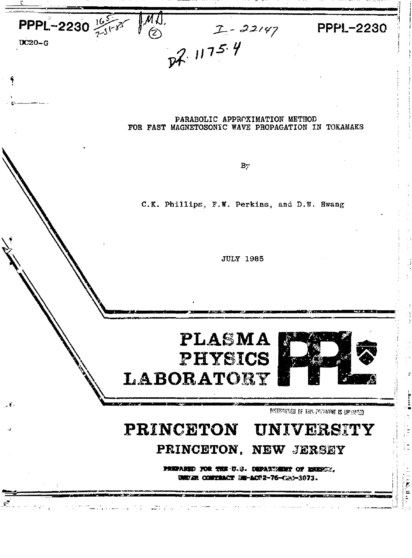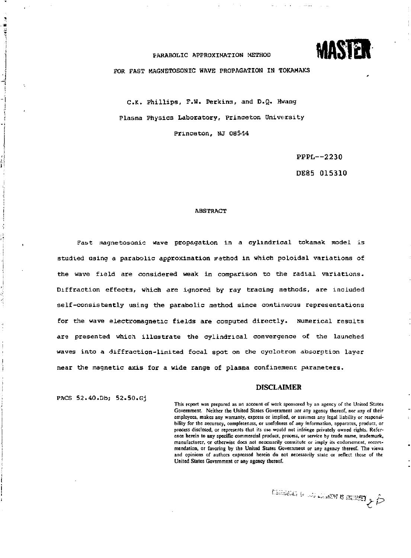# **MASTE**

#### PARABOLIC APPROXIMATION METHOD

FOR FAST MAGNETOSONIC WAVE PROPAGATION IN TOKAHAKS

C.K. Phillips, F.W. Perkin3, and D.Q. Hwang Plasma Physics Laboratory, Princeton University Princeton, NJ 08544

PPPL—2230

DE85 015310

## ABSTRACT

Fast magnetosonic wave propagation in a cylindrical tokamak model is studied using a parabolic approximation rethod in which poloidal variations of the wave field are considered weak in comparison to the radial variations. Diffraction effects, which are ignored by ray tracing methods, are included self-consistently using the parabolic method since continuous representations for the wave electromagnetic fields are computed directly. Numerical results are presented which illustrate the cylindrical convergence of the launched waves into a diffraction-limited focal spot on the cyclotron absorption layer near the magnetic axis for a wide range of plasma confinement parameters.

#### DISCLAIMER

**PACS 52.40.Db ; [52.50.G](http://52.50.Gj) j** 

**This report was prepared as an account of work sponsored by an agency of the United States**  Government. Neither the United States Government aor any agency thereof, nor any of their **employees, makes any warranty, express or implied, or assumes any legal liability or responsibility for the accuracy, completeness, or usefulness of any information, apparatus, product, or process disclosed, or represents that its use would not infringe privately owned rights. Reference herein to any specific commercial product, process, or service by trade name, trademark, manufacturer, or Otherwise docs not necessarily constitute or imply its endorsement, recommendation, or favoring by the United States Government or any agency thereof. The views and opinions of authors expressed herein do not necessarily state or reflect those of the United States Government or any agency thereof.** 

**CSHEETHER IS AN ARTIST IS CREEKED & P**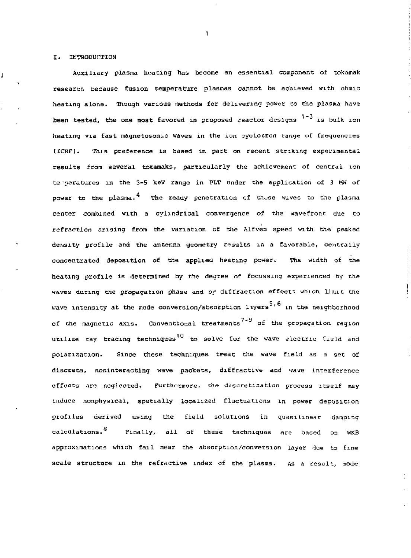# I. INTRODUCTION

J

Auxiliary plasma heating has become an essential component of tokamak research because fusion temperature plasmas cannot be achieved with ohmic heating alone. Though various methods for delivering power to the plasma have been tested, the one most favored in proposed reactor designs  $1-3$  is bulk ion heating via fast magnetosonic waves in the ion syclotron range of frequencies (ICRF). This preference is based in part on recent striking experimental results from several tokamaks, particularly the achievement of central ion temperatures in the 3-5 keV range in PLT under the application of 3 MW of power to the plasma.<sup>4</sup> The ready penetration of these waves to the plasma center combined with a cylindrical convergence of the wavefront due to refraction arising from the variation of the Alfven speed with the peaked density profile and the antenna geometry results in a favorable, centrally concentrated deposition of the applied heating power. The width of the heating profile is determined by the degree of focussing experienced by the waves during the propagation phase and by diffraction effects which limit the wave intensity at the mode conversion/absorption livers<sup>5,6</sup> in the neighborhood of the magnetic axis. Conventional treatments $^{7-9}$  of the propagation region utilize ray tracing techniques<sup>10</sup> to solve for the wave electric field and polarization. Since these techniques treat the wave field as a set of discrete, noninteracting wave packets, diffractive and wave interference effects are neglected. Furthermore, the discretization process itself may induce nonphysical, spatially localized fluctuations in power deposition profiles derived using the field solutions in quasilinear damping calculations.  $8$  Finally, all of these techniques are based on WKB approximations which fail near the absorption/conversion layer due to fine scale structure in the refractive index of the plasma. As a result, mode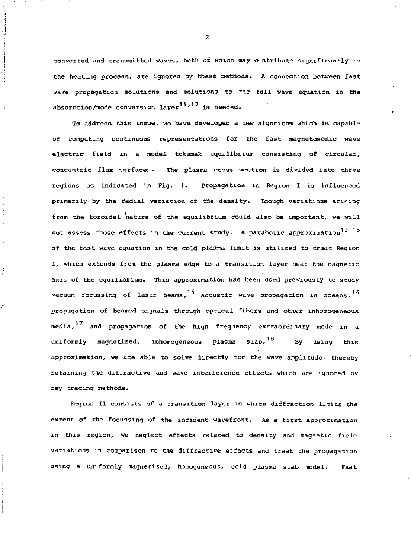converted and transmitted waves, both of which may contribute significantly to the heating process, are ignorea by these methods. A connection between fast wave propagation solutions and solutions to the full wave equation in the absorption/mode conversion layer<sup>11,12</sup> is needed.

To address this issue, we have developed a new algorithm which is capable of computing continuous representations for the fast magnetosonic wave electric field in a model tokamak equilibrium consisting of circular, concentric flux surfaces. The plasma cross section is divided into three regions as indicated in Fig. 1. Propagation in Region I is influenced primarily by the radial variation of the density. Though variations arising from the toroidal nature of the equilibrium could also be important, we will from the toroidal nature of the equilibrium could also be important, we will also be important, we will also be important, we will also be important, we will also be important, we will also be important, we will also be i of the fast wave equation in the cold plasma limit is utilized to treat Region I, which extends from the plasma edge to a transition layer near the magnetic axis of the equilibrium. This approximation has been used previously to study vacuum focussing of laser beams,  $15$  acoustic wave propagation in oceans,  $16$ propagation of beamed signals through optical fibers and other inhomogeneous media,<sup>17</sup> and propagation of the high frequency extraordinary mode in a uniformly magnetized, inhomogeneous plasma slab.<sup>18</sup> By using this approximation, we are able to solve directly for the wave amplitude, thereby retaining the diffractive and wave interference effects which are ignored by ray tracing methods.

ý

×

Reqion II consists of a transition layer in which diffraction limits the extent of the focussing of the incident wavefront. As a first approximation in this region, we neglect effects related to density and magnetic field variations in comparisen to the diffractive effects and treat the propagation using a uniformly magnetized, homogeneous, cold plasma slab model. Fast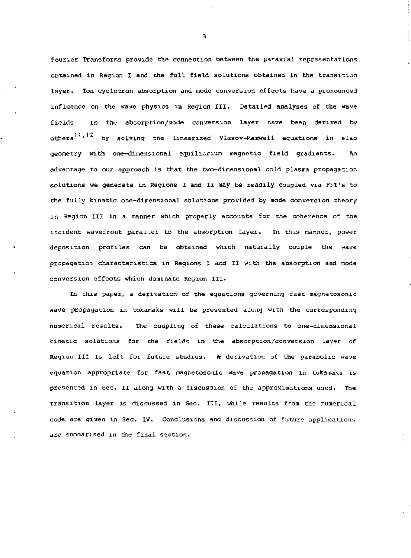Fourier Transforms provide the connection between the paraxial representations obtained in Region I and the full field solutions obtained in the transition layer. Ion cyclotron absorption and mode conversion effects have a pronounced influence on the wave physics in Region III. Detailed analyses of the wave fields in the absorption/mode conversion layer have been derived by others<sup>11,12</sup> by solving the linearized Vlasov-Maxwell equations in slab geometry with one-dimensional equilibrium magnetic field gradients. An advantage to our approach is that the two-dimensional cold plasma propagation solutions we generate in Regions I and II may be readily coupled via FFT's to the fully kinetic one-dimensional solutions provided by mode conversion theory in Region III in a manner which properly accounts for the coherence of the incident wavefront parallel to the absorption layer. In this manner, power deposition profiles can be obtained which naturally couple the wave propagation characteristics in Regions I and II with the absorption and node conversion effects which dominate Region III.

In this paper, a derivation of the equations governing fast magnetosonic wave propagation in tokamaks will be presented along with the corresponding numerical results. The coupling of these calculations to one-dimensional kinetic solutions for the fields in the absorption/conversion layer of Region III is left for future studies. Re derivation of the parabolic wave equation appropriate for fast magnetosonic wave propagation in tokamaks is presented in Sec. II along with a discussion of the approximations used. The transition layer is discussed in Sec. Ill, while results from tho numerical code are given in Sec. IV. Conclusions and discussion of future applications are summarized in the final section.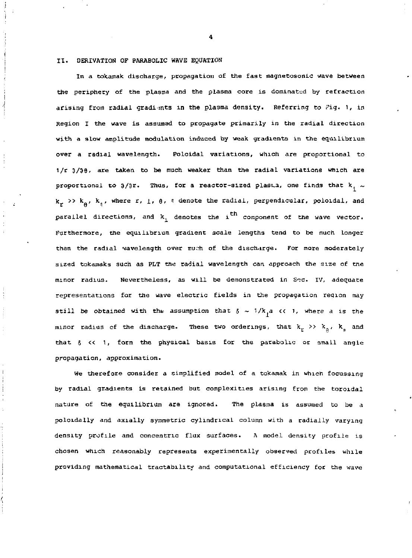### II. DERIVATION OF PARABOLIC WAVE EQUATION

In a tokamak discharge, propagation of the fast magnetosonic wave between the periphery of the plasma and the plasma core is dominated by refraction arising from radial gradi mts in the plasma density. Referring to Fig. 1, in Region I the wave is assumed to propagate primarily in the radial direction with a slow amplitude modulation induced by weak gradients in the equilibrium over a radial wavelength. Poioidai variations, which are proportional to 1/r 3/39, are taken to be much weaker than the radial variations which are proportional to  $3/3r$ . Thus, for a reactor-sized plasma, one finds that  $k_+ \sim$  $k_r \gg k_a$ ,  $k_a$ , where r, 1,  $\theta$ ,  $\theta$  denote the radial, perpendicular, poloidal, and parallel directions, and  $k_i$  denotes the i<sup>th</sup> component of the wave vector. Furthermore, the equilibrium gradient scale lengths tend to be much longer than the radial wavelength over much of the discharge. For more moderately sized tokamaks such as PLT the radial wavelength can approach the size of tne minor radius. Nevertheless, as will be demonstrated in Sic. IV, adequate representations for the wave electric fields in the propagation region may still be obtained with the assumption that  $\delta \sim 1/k_1 a$  << 1, where a is the minor radius of the discharge. These two orderings, that  $k_r \gg k_a$ , k<sub>a</sub> and that  $\xi$  << 1, form the physical basis for the parabolic or small angle propagation, approximation.

We therefore consider a simplified model of a tokamak in which focussing by radial gradients is retained but complexities arising from the toroidal nature of the equilibrium are ignored. The plasma is assumed to be a poloidally and axially symmetric cylindrical column with a radially varying density profile and concentric flux surfaces. A model density profile is chosen which reasonably represents experimentally observed profiles while providing mathematical tractability and computational efficiency for the wave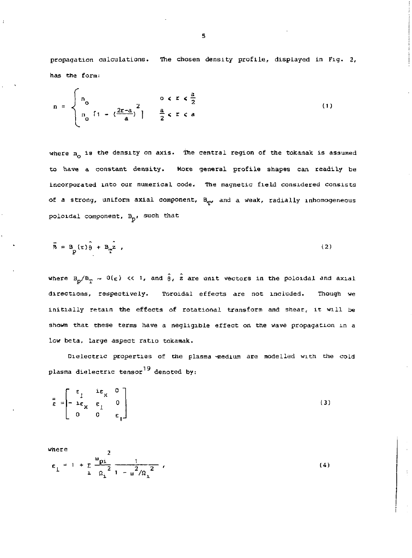propagation calculations. The chosen density profile, displayed in Fig. 2, has the form:

$$
n = \begin{cases} n_0 & 0 \le r \le \frac{a}{2} \\ n_0 & 1 + (\frac{2r-a}{a})^2 \end{cases}
$$
 (1)

where  $n_0$  is the density on axis. The central region of the tokamak is assumed to have a constant density. Wore general profile shapes can readily be incorporated into our numerical code. The magnetic field considered consists of a strong, uniform axial component,  $B_{\eta\prime}$  and a weak, radially inhomogeneous poloidal component,  $B_{p}$ , such that

$$
\overline{B} = B_p(r)\hat{\theta} + B_p\hat{z} \tag{2}
$$

where  $B_{p}/B_{p} \sim 0(\epsilon)$  << 1, and  $\hat{\theta}$ ,  $\hat{z}$  are unit vectors in the poloidal and axial directions, respectively. Toroidal effects are not included. Though we initially retain the effects of rotational transform and shear, it will be shown that these terms have a negligible effect on the wave propagation in a lew beta, large aspect ratio tokamak.

Dielectric properties of the plasma -medium are modelled with the cold plasma dielectric tensor  $19$  denoted by:

$$
\vec{\epsilon} = \begin{bmatrix} \epsilon_1 & i\epsilon_x & 0 \\ -i\epsilon_x & \epsilon_1 & 0 \\ 0 & 0 & \epsilon_1 \end{bmatrix}
$$
 (3)

where

 $\overline{z}$ 

$$
\varepsilon_{\perp} = 1 + \sum_{i} \frac{\omega_{\text{p1}}}{\Omega_i^2} \frac{1}{1 - \omega^2 / \Omega_i^2},
$$
 (4)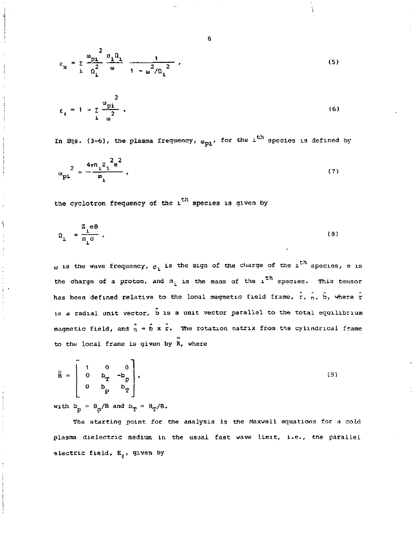$$
\varepsilon_{\mathbf{x}} = \sum_{i} \frac{\omega_{\mathbf{p}_1}}{\Omega_1^2} \frac{\sigma_1 \Omega_1}{\omega} \frac{1}{1 - \omega^2 / \Omega_1^2},
$$
\n(5)

$$
\varepsilon_{\eta} = 1 - \sum_{\lambda} \frac{\omega_{\text{pi}}}{\omega^2} \tag{6}
$$

In Bqs. (3-6), the plasma frequency,  $\omega_{\bf ni}$ , for the i<sup>th</sup> species is defined by

$$
\omega_{\text{pi}}^{2} = \frac{4\pi n_{1} z_{i}^{2} e^{2}}{m_{i}} \tag{7}
$$

the cyclotron frequency of the i<sup>th</sup> species is given by

$$
\Omega_1 = \frac{Z \text{ eB}}{m_1 c} \tag{8}
$$

 $_{\omega}$  is the wave frequency,  $\sigma_{\text{n}}$  is the sign of the charge of the 1<sup>0</sup>" species, e i the charge of a proton, and  $m_i$  is the mass of the i<sup>th</sup> species. This tensor has been defined relative to the local magnetic field frame,  $\hat{\mathbf{r}}_i$ ,  $\hat{\mathbf{n}}_i$ ,  $\hat{\mathbf{b}}_i$ , where  $\hat{\mathbf{r}}$ is a radial unit vector, b is a unit vector parallel to the total equilibrium magnetic field, and  $\hat{\mathbf{n}} = \hat{\mathbf{b}} \times \hat{\mathbf{r}}$ . The rotation matrix from the cylindrical frame to the local frame is given by R, where

$$
\overline{\overline{R}} = \begin{bmatrix} 1 & 0 & 0 \\ 0 & b_T & -b_p \\ 0 & b_p & b_T \\ 0 & b_p & b_T \end{bmatrix}.
$$
\n
$$
\text{with } b_p = B_p/B \text{ and } b_T = B_T/B.
$$
\n
$$
(9)
$$

The starting point for the analysis is the Maxwell equations for a cold plasma dielectric medium in the usual fast wave limit, i.e., tne parallel electric field, E., given by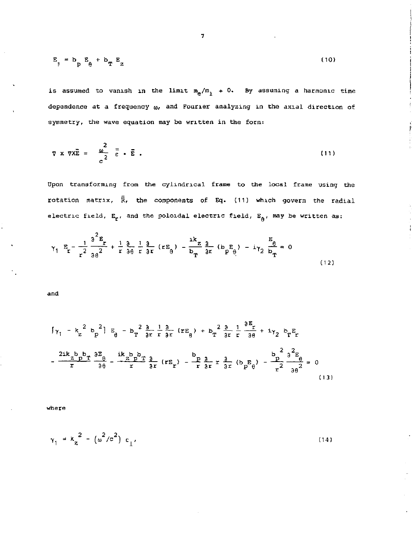$$
E_{\parallel} = b_{\parallel} E_{\parallel} + b_{\parallel} E_{\parallel}
$$
 (10)

is assumed to vanish in the limit  $m_e / m_i + 0$ . By assuming a harmonic time dependence at a frequency  $\omega_r$ , and Fourier analyzing in the axial direction of symmetry, the wave equation may be written in the form:

$$
\nabla \times \nabla X \vec{E} = \frac{\omega^2}{c^2} = \vec{E} \cdot \vec{E} \tag{11}
$$

Upon transforming from the cylindrical frame to the local frame using the rotation matrix,  $\bar{R}$ , the components of Eq. (11) which govern the radial electric field,  $E_r$ , and the poloidal electric field,  $E_{\hat{p}}$ , may be written as:

$$
\gamma_1 \t E_{r} - \frac{1}{r^2} \frac{\partial^2 E_{r}}{\partial \theta^2} + \frac{i}{r} \frac{\partial}{\partial \theta} + \frac{1}{r} \frac{\partial}{\partial r} (r E_{\theta}) - \frac{i k_z}{b_T} \frac{\partial}{\partial r} (b_p E_{\theta}) - i \gamma_2 \frac{E_{\theta}}{b_T} = 0
$$
\n(12)

and

$$
\left\{\gamma_{1} - k_{z}^{2} b_{p}^{2}\right\} E_{\theta} - b_{T}^{2} \frac{\partial}{\partial r} \frac{1}{r} \frac{\partial}{\partial r} \left(r E_{\theta}\right) + b_{T}^{2} \frac{\partial}{\partial r} \frac{1}{r} \frac{\partial}{\partial \theta} + i\gamma_{2} b_{T}^{2} E_{r}
$$
\n
$$
- \frac{2ik_{z} b_{p} b_{T}}{r} \frac{\partial E_{\theta}}{\partial \theta} - \frac{ik_{z} b_{p} b_{T}}{r} \frac{\partial}{\partial r} \left(r E_{r}\right) - \frac{b_{p}}{r} \frac{\partial}{\partial r} \frac{1}{r} \frac{\partial}{\partial r} \left(b_{p}^{2} E_{\theta}\right) - \frac{b_{p}}{r^{2}} \frac{\partial^{2} E_{\theta}}{\partial \theta^{2}} = 0
$$
\n(13)

where

$$
\gamma_1 = \kappa_2^2 - \left(\omega^2/c^2\right) \epsilon_1,\tag{14}
$$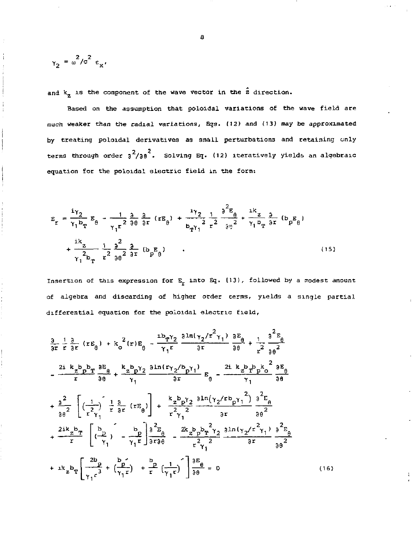$$
\gamma_2 = \omega^2/c^2 \varepsilon_{\rm x},
$$

and  $k_2$  is the component of the wave vector in the  $\hat{z}$  direction.

Based on the assumption that poloidal variations of the wave field are **much weaker than the radial variations, Bqa. (12) and (13) may be approximated**  by treating poloidal derivatives as small perturbations and retaining only  $2, 2$ **terms through order 3 /3B . Solving Eq. (12) iterativel y yields an algebrai c equation for the poloidal electric field in the form:** 

$$
E_{r} = \frac{i\gamma_{2}}{\gamma_{1}b_{T}} E_{\theta} - \frac{1}{\gamma_{1}r^{2}} \frac{\partial}{\partial\theta} \frac{\partial}{\partial r} (r E_{\theta}) + \frac{i\gamma_{2}}{b_{T}\gamma_{1}^{2}} \frac{1}{r^{2}} \frac{\partial^{2}E_{\theta}}{\partial\theta^{2}} + \frac{i k_{z}}{\gamma_{1}b_{T}} \frac{\partial}{\partial r} (b_{p}E_{\theta}) + \frac{i k_{z}}{\gamma_{1}^{2}b_{T}} \frac{1}{r^{2}} \frac{\partial^{2}E_{\theta}}{\partial\theta^{2}} (b_{p}E_{\theta})
$$
\n(15)

Insertion of this expression for  $E_r$  into  $Eq$ . (13), followed by a modest amount of algebra and discarding of higher order terms, yields a single partial **differentia l equation for the poloida l electri c field ,** 

$$
\frac{3}{2r} \frac{1}{r} \frac{3}{3r} (r E_{\theta}) + k_{o}^{2}(r) E_{\theta} - \frac{1 b_{r} \gamma_{2}}{\gamma_{1}^{r}} \frac{3 \ln(\gamma_{2}/r^{2} \gamma_{1})}{3r} \frac{3 E_{\theta}}{3\theta} + \frac{1}{r^{2}} \frac{3 \frac{2}{r} E_{\theta}}{3\theta^{2}}
$$
\n
$$
-\frac{2i k_{z} b_{p} b_{r}}{r} \frac{3 E_{\theta}}{3\theta} + \frac{k_{z} b_{p} \gamma_{2}}{\gamma_{1}} \frac{3 \ln(r \gamma_{2}/b_{p} \gamma_{1})}{3r} E_{\theta} - \frac{2i k_{z} b_{r} b_{p} k_{o}^{2}}{\gamma_{1}} \frac{3 E_{\theta}}{3\theta}
$$
\n
$$
+\frac{3^{2}}{3\theta^{2}} \left[ \left( \frac{1}{r^{2} \gamma_{1}} \right) + \frac{3}{r} \frac{3}{3r} (r E_{\theta}) \right] + \frac{k_{z} b_{p} \gamma_{2}}{r^{2} \gamma_{1}^{2}} \frac{3 \ln(\gamma_{2}/r b_{p} \gamma_{1})}{3r} \frac{3^{2} E_{\theta}}{3\theta^{2}}
$$
\n
$$
+\frac{2i k_{z} b_{r}}{r} \left[ \left( \frac{b_{p}}{\gamma_{1}} \right) - \frac{b_{p}}{\gamma_{1}^{r}} \right] \frac{3^{2} E_{\theta}}{3r \theta \theta} - \frac{2k_{z} b_{p} b_{r}^{2} \gamma_{2}}{r^{2} \gamma_{1}^{2}} \frac{3 \ln(\gamma_{2}/r^{2} \gamma_{1})}{3r} \frac{3^{2} E_{\theta}}{3\theta^{2}}
$$
\n
$$
+ 1 k_{z} b_{r} \left[ \frac{2b_{p}}{\gamma_{1}^{r}} \right] + \frac{b_{p}}{r} \left( \frac{1}{\gamma_{1}^{r}} \right) + \frac{b_{p}}{r} \left( \frac{1}{\gamma_{1}^{r}} \right) \frac{3 E_{\theta}}{3\theta} = 0
$$
\n
$$
(16)
$$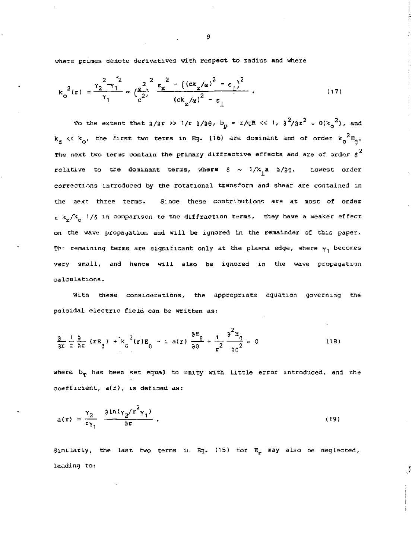where primes denote derivatives with respect to radius and where

$$
k_0^{2}(r) = \frac{\gamma_2^{2} - \gamma_1^{2}}{\gamma_1} = \left(\frac{\omega_2}{c^2}\right)^2 \frac{\epsilon_x^{2} - \left(\left(ck_z/\omega\right)^2 - \epsilon_1\right)^2}{\left(ck_z/\omega\right)^2 - \epsilon_1} \tag{17}
$$

To the extent that  $3/3r$  >> 1/r  $3/30$ ,  $b_0 \approx r/(3R) < 1$ ,  $3^{2}/3r^{2} \approx 0(k_0^{2})$ , and  ${\rm k}_{\rm z}$  <<  ${\rm k}_{\rm o}$ , the first two terms in Eq. (16) are dominant and of order  ${\rm k}_{\rm o}$ -E<sub>.0</sub>. The next two terms contain the primary diffractive effects and are of order  $\delta^2$ relative to the dominant terms, where  $\delta \sim 1/k_1^2$  3/36. Lowest order corrections introduced by the rotational transform and shear are contained in the next three terms. Since these contributions are at most of order  $c k_{\gamma}/k_{\alpha}$  1/6 in comparison to the diffraction terms, they have a weaker effect on the wave propagation and will be ignored in the remainder of this paper. Th' remaining terms are significant only at the plasma edge, where *y,* becomes very small, and hence will also be ignored in the wave propagation calculations.

With these considerations, the appropriate equation governing the poloidal electric field can be written as:

 $\ddot{\phantom{0}}$ 

j.

$$
\frac{\partial}{\partial r} \frac{1}{r} \frac{\partial}{\partial r} \left( r \mathbb{E}_{\theta} \right) + k \frac{\partial}{\partial r} (r) \mathbb{E}_{\theta} - 1 \ a(r) \ \frac{\partial \mathbb{E}_{\theta}}{\partial \theta} + \frac{1}{r^2} \frac{\partial^2 \mathbb{E}_{\theta}}{\partial \theta^2} = 0 \tag{18}
$$

where  $b_m$  has been set equal to unity with little error introduced, and the coefficient, a(r), is defined as:

$$
a(r) = \frac{\gamma_2}{r\gamma_1} \frac{\partial \ln(\gamma_2/r^2\gamma_1)}{\partial r} \tag{19}
$$

Similarly, the last two terms in Eq. (15) for  $E_r$  may also be neglected, leading to: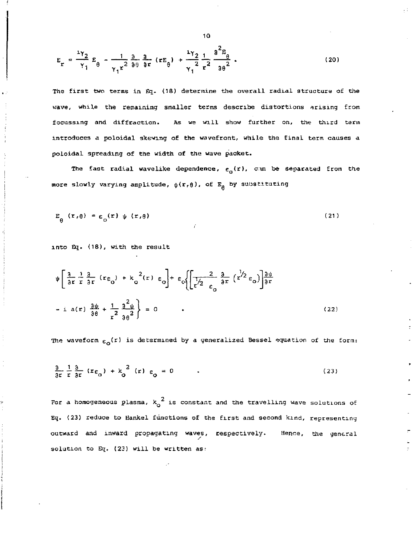$$
E_r = \frac{1\gamma_2}{\gamma_1} E_\theta - \frac{1}{\gamma_1 z^2} \frac{\partial}{\partial \theta} \frac{\partial}{\partial r} (r E_\theta) + \frac{1\gamma_2}{\gamma_1^2} \frac{1}{r^2} \frac{\partial^2 E_\theta}{\partial \theta^2} .
$$
 (20)

The first two terms in Eq. (IS) determine the overall radial structure of the wave, while the remaining smaller terms describe distortions arising from focussing and diffraction. As we will show further on, the third term introduces a poloidal skewing of the wavefront, while the final term causes a poloidal spreading of the width of the wave packet.

The fast radial wavelike dependence,  $\epsilon_{\alpha}(r)$ , c;n be separated from the more slowly varying amplitude,  $\psi(\mathbf{r},\theta)$ , of E<sub>A</sub> by substituting

$$
E_{\theta} (\tau, \theta) = \varepsilon_{0} (\tau) \psi (\tau, \theta)
$$
 (21)

into Eg. (18), with the result

$$
\psi \left[ \frac{\partial}{\partial r} \frac{1}{r} \frac{\partial}{\partial r} (r \varepsilon_0) + k_0^2 (r) \varepsilon_0 \right] + \varepsilon_c \left\{ \left[ \frac{2}{r^2} \frac{\partial}{\partial r} (r^{2/2} \varepsilon_0) \right] \frac{\partial \psi}{\partial r} \right\}
$$
  
- i a(r)  $\frac{\partial \psi}{\partial \theta} + \frac{1}{r^2} \frac{\partial^2 \psi}{\partial \theta^2} \right\} = 0$  (22)

The waveform  $\varepsilon_0$ (r) is determined by a generalized Bessel equation of the form:

$$
\frac{a}{\sigma r} \frac{1}{r} \frac{\partial}{\partial r} (r \epsilon_0) + k_0^2 (r) \epsilon_0 = 0
$$
 (23)

For a homogeneous plasma,  $k_0^2$  is constant and the travelling wave solutions of Eq. (23) reduce to Hankel functions of the first and second kind, representing outward and inward propagating waves, respectively. Hence, the general solution to Eq. (23) will be written as: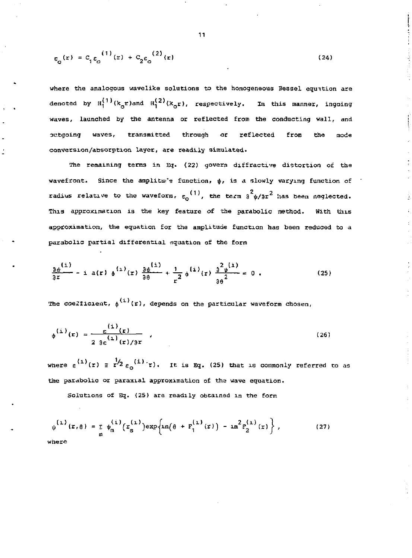$$
\varepsilon_{0} (r) = C_{1} \varepsilon_{0}^{(1)} (r) + C_{2} \varepsilon_{0}^{(2)} (r)
$$
 (24)

where the analogous wavelike solutions to the homogeneous Bessel equation are denoted by  $H_1^{(1)}(k_\alpha r)$  and  $H_1^{(2)}(k_\alpha r)$ , respectively. In this manner, ingoing waves, launched by the antenna or reflected from the conducting wall, and putgoing waves, transmitted through or reflected from the mode conversion/absorption layer, are readily simulated.

The remaining terms in Eq. (22) govern diftractive distortion of the wavefront. Since the amplitude function,  $\psi$ , is a slowly varying function of radius relative to the waveform,  $\varepsilon_0^{(1)}$ , the term  $3 \frac{2}{\sqrt{3}} r^2$  has been neglected. This approximation is the key feature of the parabolic method. With this approximation, the equation for the amplitude function has been reduced to a parabolic partial differential equation of the form

$$
\frac{\partial \psi^{(1)}}{\partial r} - 1 \ a(r) \ \phi^{(1)}(r) \ \frac{\partial \psi^{(1)}}{\partial \theta} + \frac{1}{r^2} \phi^{(1)}(r) \ \frac{\partial^2 \psi^{(1)}}{\partial \theta^2} = 0 \ . \tag{25}
$$

The coefficient,  $\phi^{(i)}(r)$ , depends on the particular waveform chosen,

$$
\phi^{(1)}(r) = \frac{e^{(1)}(r)}{2 \partial e^{(1)}(r)/\partial r} \qquad (26)
$$

where  $\varepsilon^{(1)}(\tau) = r^{\frac{1}{2}} \varepsilon_0^{(1)}(\tau)$ . It is Eq. (25) that is commonly referred to as the parabolic or paraxial approximation of the wave equation.

Solutions of Eq. (25) are readily obtained in the form

$$
\psi^{(1)}(r,\theta) = \sum_{m} \psi^{(1)}_{m} (r_s^{(1)}) \exp\left\{ \ln(\theta + F_1^{(1)}(r)) - \ln^2 F_2^{(1)}(r) \right\},
$$
 (27)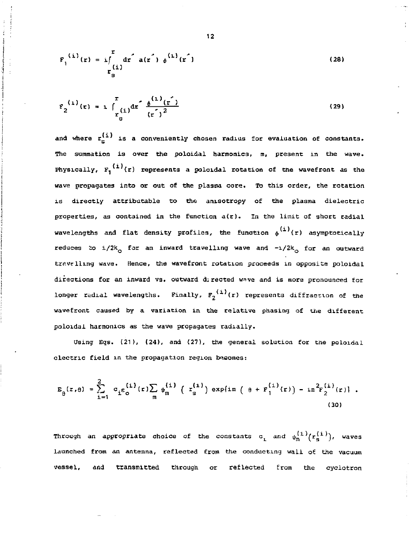$$
F_1^{(i)}(r) = i \int_{r_g}^{r} dr^{2} a(r^{2}) \phi^{(1)}(r^{2})
$$
 (28)

$$
F_2^{(1)}(r) = 1 \int_{r_3}^r (i) dr' \frac{\phi^{(1)}(r')}{(r')^2}
$$
 (29)

and where  $r_c^{(1)}$  is a conveniently chosen radius for evaluation of constants. The summation is over the poloidal harmonics, m, present in the wave. Physically,  $F_t^{(1)}(r)$  represents a poloidal rotation of the wavefront as the wave propagates into or out of the plasma core. To this order, the rotation is directly attributable to the anisotropy of the plasma dielectric properties, as contained in the function  $a(r)$ . In the limit of short radial wavelengths and flat density profiles, the function  $\phi^{(1)}(r)$  asymptotically reduces to i/2k for an inward travelling wave and  $-1/2k$  for an outward travelling wave. Hence, the wavefront rotation proceeds in opposite poloidal directions for an inward vs. outward directed wave and is more pronounced for longer radial wavelengths. Finally,  $F_2^{(1)}(r)$  represents diffraction of the wavefront caused by a variation in the relative phasing of the different poloidal harmonics as the wave propagates radially.

Using Eqs. (21), (24), and (27), the general solution for the poloidal electric field in the propagation region becomes:

$$
E_{\theta}(r,\theta) = \sum_{i=1}^{2} \sigma_{i} \epsilon_{0}^{(i)}(r) \sum_{m} \psi_{m}^{(i)} \left( r_{s}^{(i)} \right) \exp\{i m \left( \theta + F_{1}^{(i)}(r) \right) - i m^{2} F_{2}^{(i)}(r) \} .
$$
\n(30)

Through an appropriate choice of the constants  $c_{L}$  and  $\psi_{m}^{(i)}(r_{s}^{(i)})$ , waves launched from an antenna, reflected from the conducting wall of the vacuum vessel, and transmitted through or reflected from the cyclotron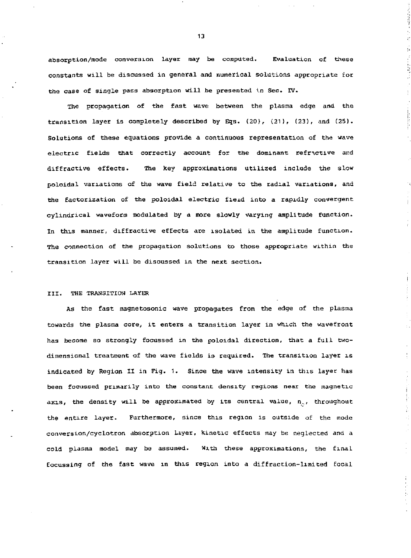absorption/mode conversion layer may be computed. Evaluation of these constants will be discussed in general and numerical solutions appropriate for the case of single pass absorption will be presented in Sec. IV.

Ş

The propagation of the fast wave between the plasma edge and the transition layer is completely described by Eqs. (20), (21), (23), and (25). Solutions of these equations provide a continuous representation of the wave electric fields that correctly account for the dominant refractive and diftractive effects. The key approximations utilized include the slow poloidal variations of the wave field relative to the radial variations, and the factorization of the poloidal electric fieid into a rapidly convergent cylindrical waveform modulated by a more slowly varying amplitude function. In this manner, diftractive effects are isolated in the amplitude function. The connection of the propagation solutions to those appropriate within the transition layer will be discussed in the next section.

# III. THE TRANSITION LATER

As the fast magnetosonic wave propagates from the edge of the plasma towards the plasma core, it enters a transition layer in which the wavefront has become so strongly focussed in the poloidal direction, that a full twodimensional treatment of the wave fields is required. The transition layer is indicated by Region II in Fig. 1. Since the wave intensity in this layer has been focussed primarily into the constant density regions near the magnetic axis, the density will be approximated by its central value, n., throughout the entire layer. Furthermore, since this region is outside of the mode conversion/cyclotron absorption Liyer, kinetic effects may be neglected and a cold plasma model may be assumed. With these approximations, the final focussing of the fast wave in this region into a diffraction-limited focal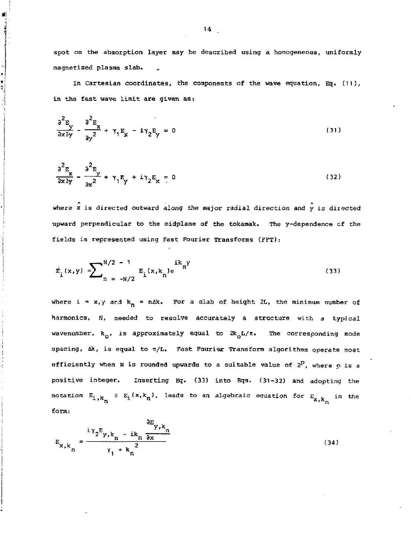spot on the absorption layer may be described using a homogeneous, uniformly magnetized plasma slab.

In Cartesian coordinates, the components of the wave equation, Eq. (11), in the fast wave limit are given as:

$$
\frac{a^2 E_y}{a x a y} - \frac{a^2 E_x}{a y^2} + \gamma_1 E_x - i \gamma_2 E_y = 0
$$
\n(31)

$$
\frac{a^{2}E_{x}}{ax\,dy} - \frac{a^{2}E_{y}}{ax^{2}} + \gamma_{1}E_{y} + i\gamma_{2}E_{x} = 0
$$
 (32)

where  $\hat{x}$  is directed outward along the major radial direction and  $\hat{y}$  is directed upward perpendicular to the midplane of the tokamak. The y-dependence cf the fields is represented using Fast Fourier Transforms (FFT):

$$
E_{i}(x,y) = \sum_{n = -N/2}^{N/2 - 1} E_{i}(x, k_{n})e^{ik_{n}y}
$$
 (33)

where  $i = x_i y$  and  $k_n = n\Delta k$ . For a slab of height 2L, the minimum number of harmonics, N, needed to resolve accurately a structure with a typical wavenumber,  $k_0$ , is approximately equal to  $2k_0L/\pi$ . The corresponding mode spacing,  $\Delta k$ , is equal to  $\pi/L$ . Fast Fourier Transform algorithms operate most efficiently when N is rounded upwards to a suitable value of  $2^D$ , where o is a positive integer. Inserting Eq. (33) into Eqs. (31-32) and adopting the notation  $E^{\,}_{\textbf{i},k}$  =  $E^{\,}_{\textbf{i}}(x,k_{\textbf{n}})$ , leads to an algebraic equation for  $E^{\,}_{\textbf{x},k}$  in the form:

$$
E_{x,k_n} = \frac{i\gamma_2 E_{y,k_n} - ik_n \frac{\partial E_{y,k_n}}{\partial x}}{\gamma_1 + k_n^2}
$$
(34)

쁴

, t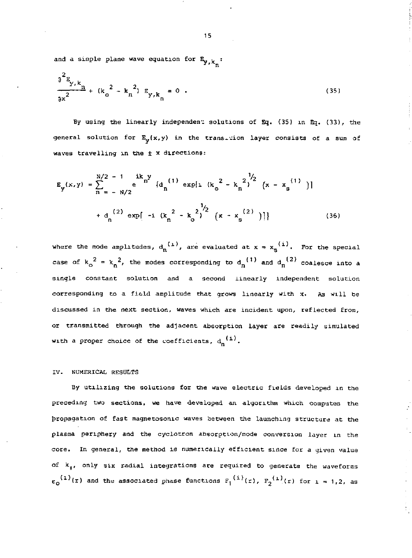and a simple plane wave equation for  $E_{y, k_n}$ :

$$
\frac{\partial^2 E_{y,k_n}}{\partial x^2} + (k_o^2 - k_n^2) E_{y,k_n} = 0
$$
 (35)

By using the linearly independent solutions of Eq. (35) in Eq. (33), the general solution for  $E_y(x,y)$  in the transition layer consists of a sum of waves travelling in the ± x directions:

$$
E_{y}(x,y) = \sum_{n=-N/2}^{N/2} e^{nN} \{a_{n}^{(1)} \exp\{1/(k_{0}^{2} - k_{n}^{2})\} \left[ (x - x_{s}^{(1)}) \right] \}
$$
  
+  $d_{n}^{(2)} \exp\{-1/(k_{n}^{2} - k_{o}^{2})^{2}/[(x - x_{s}^{(2)})]\}$  (36)

where the mode amplitudes,  $d_n^{(1)}$ , are evaluated at  $x = x_n^{(1)}$ . For the special  $2 = k^2$ , the modes corresponding to d  $(1)$  and d  $(2)$  go:  $\alpha$   $\alpha$   $\alpha$   $\alpha$   $\alpha$   $\alpha$   $\alpha$   $\alpha$ single constant solution and a second linearly independent solution corresponding to a field amplitude that grows linearly with x. As will be discussed in the next section, waves which are incident upon, reflected from, or transmitted through the adjacent absorption layer are readily simulated with a proper choice of the coefficients,  $d_n^{(1)}$ .

# IV. NUMERICAL RESULTS

By utilizing the solutions for the wave electric fields developed in the preceding two sections, we have developed an algorithm which computes the propagation of fast magnetosonic waves between the launching structure at the plasma periphery and the cyclotron absorption/mode conversion layer in the core. In general, the method is numerically efficient since for a given value of  $k_{\parallel}$ , only six radial integrations are required to generate the waveforms  $\varepsilon_0^{(1)}(\tau)$  and the associated phase functions  $F_1^{(1)}(r)$ ,  $F_2^{(1)}(r)$  for  $I = 1,2$ , as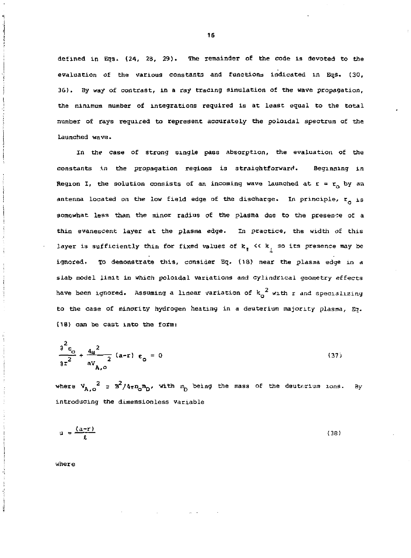defined in Eqs. *(2H,* 28, 29). The remainder of the code is devoted to the evaluation of the various constants and functions indicated in Eqs. (30, 36). 3y way of contrast, in a ray tracing simulation of the wave propagation, the minimum number of integrations required is at least equal to the total number of rays required to represent accurately the poloidal spectrum of the launched wave.

In the case of strong single pass absorption, the evaluation of the constants in the propagation regions is straightforward. Beginning in Region I, the solution consists of an incoming wave launched at  $r = r_Q$  by an antenna located on the low field edge of the discharge. In principle, r<sub>o</sub> is somewhat less than the minor radius of the plasma due to the presence of a thin evanescent layer at the plasma edge. In practice, the width of this layer is sufficiently thin for fixed values of  $k_{\pi} \ll k_{\pi}$  so its presence may be ignored. To demonstrate this, consider Eq. (18) near the plasma edge in a slab model limit in which poloidal variations and cylindrical geometry effects have been ignored. Assuming a linear variation of  $k_0^2$  with r and specializing to the case of minority hydrogen heating in a deuterium majority plasma, Eq. (18) can be cast into the form:

$$
\frac{a^{2} \epsilon_{0}}{a r^{2}} + \frac{4 \omega^{2}}{a V_{A,0}} \left( a - r \right) \epsilon_{0} = 0
$$
 (37)

where  $V_{A_O}^2 \equiv B^2/4\pi n_0 m_0$ , with  $m_0$  being the mass of the deuterium ions. By introducing the dimensionless variable

$$
u = \frac{(a-r)}{k} \tag{38}
$$

where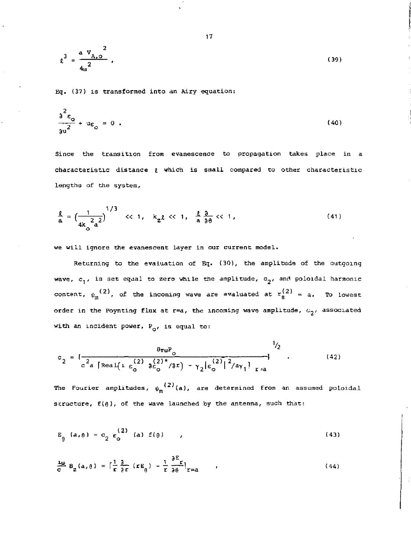$$
\varrho^{3} = \frac{a V_{A,0}}{4\omega^{2}} , \qquad (39)
$$

Eq. (37) is transformed into an Airy equation:

$$
\frac{a^2 \varepsilon_o}{a u^2} + u \varepsilon_o = 0 \tag{40}
$$

Since the transition from evanescence to propagation takes place in a characteristic distance g which is small compared to other characteristic lengths of the system,

$$
\frac{\ell}{a} = \left(\frac{1}{4k_o^2 a^2}\right)^{1/3} \iff 1, \quad k_z \ell \iff 1, \quad \frac{\ell}{a} \frac{\partial}{\partial \theta} \iff 1,
$$
\n(41)

we will ignore the evanescent layer in our current model.

Returning to the evaluation of Eq. (30), the amplitude of the outgoing wave,  $c_1$ , is set equal to zero while the amplitude,  $c_2$ , and poloidal harmonic content,  $\psi_m^{(2)}$ , of the incoming wave are evaluated at  $r_s^{(2)} = a$ . To lowest order in the Poynting flux at r=a, the incoming wave amplitude,  $c_2$ , associated with an incident power,  $P_{\alpha}$ , is equal to:

$$
c_2 = \left\{ \frac{8\pi\omega P_{\odot}}{c^2 a \left[ \text{Real} \left( 1 - \epsilon_{\odot}^{(2)} \right) \frac{2^{2s}}{3\epsilon_{\odot}^{(2)s} / 3s} \right] - \gamma_2 \left| \epsilon_{\odot}^{(2)} \right|^2 / a\gamma_1 \right\} \right\} \tag{42}
$$

The Fourier amplitudes,  $\psi_m^{\,(2)}(a)$ , are determined from an assumed poloidal structure, f(e), of the wave launched by the antenna, such that:

$$
E_{\theta} (a,\theta) = C_2 \varepsilon_0^{(2)} (a) f(\theta) , \qquad (43)
$$

$$
\frac{10}{c} B_z(a,\theta) = \left[\frac{1}{c} \frac{\partial}{\partial r} (r E_\theta) - \frac{1}{r} \frac{\partial E}{\partial \theta}\right]_{z=a} \qquad (44)
$$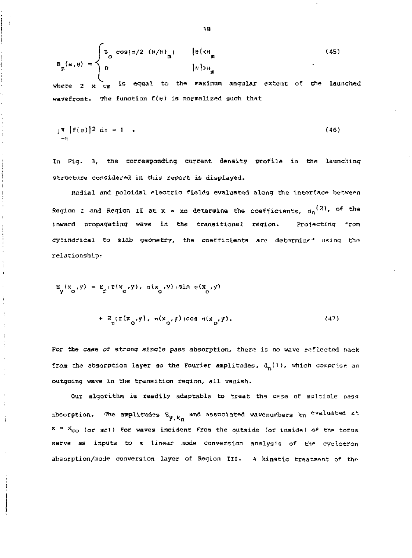$$
B_{Z}(a,\theta) = \begin{cases} B_{0} \cos(\pi/2 \cdot (\theta/\theta)_{m}! & |\theta| < \theta_{m} \\ 0 & |\theta| > \theta_{m} \end{cases}
$$
 (45)

where 2 x  $\mathrm{H}_{\mathrm{H}}$  is equal to the maximum angular extent of the launche wavefront. The function  $f(y)$  is normalized guch that

$$
\int_{-\pi}^{\pi} |f(\theta)|^2 d\theta = 1
$$
 (46)

In Fig. 3, the corresponding current density profile in the launching structure considered in this report is displayed.

Radial and poloidal electric fields evaluated along the interface between Region I and Region II at x = xo determine the coefficients,  $\dot{a}_n^{\{2\}}$ , of the inward propagating wave in the transitional region. Projecting from cylindrical to slab geometry, the coefficients are determine' using the relationship:

$$
E_y(x_0, y) = E_y \cdot r(x_0, y), \quad g(x_0, y) \cdot \sin \theta(x_0, y)
$$

 $\overline{0}$  o  $\overline{0}$ 

$$
+ E_i(r(x, y), \theta(x, y)) \cos \theta(x, y). \qquad (47)
$$

For the case *of* strong single pass absorption, there is no wave reflected hack from the absorption layer so the Fourier amplitudes,  $d_n(1)$ , which comprise an outgoing wave in the transition region, all vanish.

Our algorithm is readily adaptable to treat the case of multiple pass absorption. The amplitudes  $E_{\gamma, k_n}$  and associated wavenumbers  $k_n$  evaluated at  $x = x_{co}$  (or xc1) for waves incident from the outside (or inside) of the torus serve as inputs to a linear mode conversion analysis of the cyclotron absorption/mode conversion layer of Region III. A kinetic treatment of the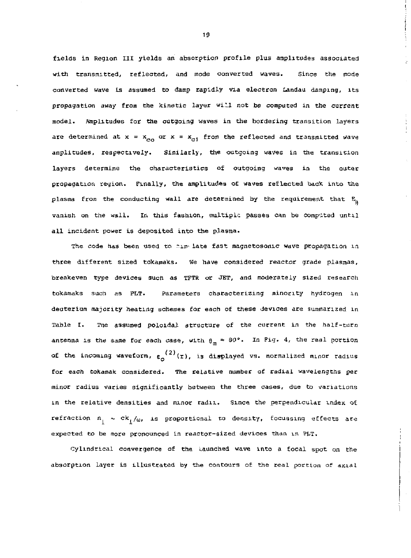fields in Region III yields an absorption profile plus amplitudes associated with transmitted, reflected, and mode converted waves. Since the mode converted wave is assumed to damp rapidly via electron Landau damping, its propagation away from the kinetic layer will not be computed in the current model. Amplitudes for the outgoing waves in the bordering transition layers are determined at  $x = x_{c0}$  or  $x = x_{c1}$  from the reflected and transmitted wave amplitudes, respectively. Similarly, the outgoing waves in the transition layers determine the characteristics of outgoing waves in the outer propagation region. Finally, the amplitudes of waves reflected bacK into the plasma from the conducting wall are determined by the requirement that  $E_a$ vanish on the wall. In this fashion, multiple passes can be computed until all incident power is deposited into the plasma.

The code has been used to nim- late fast magnetosonic wave propagation in three different sized tokamaks. We have considered reactor grade plasmas, breakeven type devices such as TFTR or JET, and moderately sized research tokamaks such as PLT. Parameters characterizing minority hydrogen in deuterium majority heating schemes for each of these devices are summarized in Table I. Tne assumed poloidal structure of the current in the half-turn antenna is the same for each case, with  $\theta_m = 80^\circ$ . In Fig. 4, the real portion of the incoming waveform,  $\epsilon_o^{(2)}(r)$ , is displayed vs. normalized minor radius for each tokamak considered. The relative number of radial wavelengths per minor radius varies significantly between the three cases, due to variations in the relative densities and minor radii. Since the perpendicular index of refraction  $n_1 \sim ck_1/a$ , is proportional to density, focussing effects are expected to be more pronounced in reactor-sized devices than in PLT.

Cylindrical convergence of the launched wave into a focal spot on the absorption layer is illustrated by the contours of the real portion of axial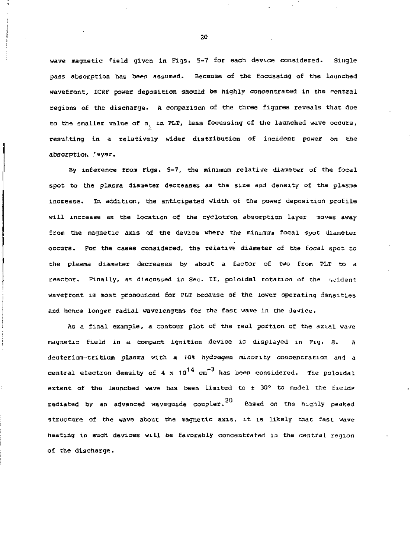wave magnetic field given in Figs. 5-7 for each device considered. Single pass absorption has been assumed. Because of the focussing of the launched wavefront, ICRF power deposition should be highly concentrated in the rentral regions of the discharge, a comparison of the three figures reveals that due to the smaller value of n<sub>t</sub> in PLT, less focussing of the launched wave occurs, resulting in a relatively wider distribution of incident power on the absorptior. .'ayer.

By inference from Figs. 5-7, the minimum relative diameter of the focal spot to the plasma diameter decreases as the size and density of the plasma increase. In addition, the anticipated width of the power deposition profile will increase as the location of the cyclotron absorption layer moves away from the magnetic axis of the device where the minimum focal spot diameter occurs. For the cases considered, the relative diameter of the focal spot to the plasma diameter decreases by about a factor of two from PLT to a reactor. Finally, as discussed in Sec. II, poloidal rotation of the :,oident wavefront is most pronounced for PLT because of the lower operating densities and hence longer radial wavelengths for the fast wave in the device.

As a final example, a contour plot of the real portion of the axial wave magnetic field in a compact ignition device is displayed in Fig. 8. A deuterium-tritium plasma with a 10% hydrogen minority concentration and a central electron density of  $4 \times 10^{14}$  cm<sup>-3</sup> has been considered. The poloidal extent of the launched wave has been limited to ± 30° to model the fields radiated by an advanced waveguide coupler.<sup>20</sup> Based on the highly peaked structure of the wave about the magnetic axis, it is likely that fast wave heating in such devices will be favorably concentrated in the central region of the discharge.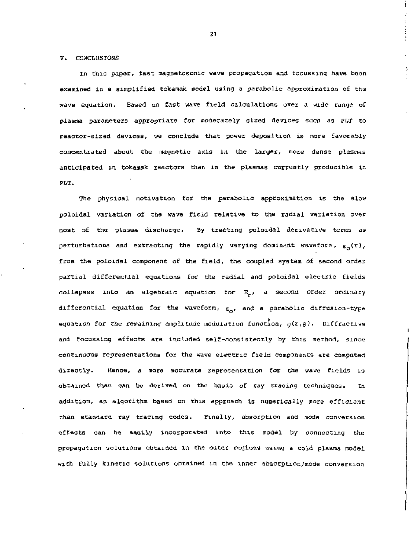#### V- CONCLUSIONS

In this paper, fast magnetosonic wave propagation and focussing have been examined in a simplified tokamak model using a parabolic approximation of the wave equation. Based on fast wave field calculations over a wide range of plassia parameters appropriate for moderately sized devices such as PLT to reactor-siaed devices, we conclude that power deposition is more favorably concentrated about the magnetic axis in the larger, more dense plasmas anticipated in tokamak reactors than in the plasmas currently producible in PLT.

The physical motivation for the parabolic approximation is the slow poloidal variation of the wave field relative to the radial variation over most of the plasma discharge. By treating poloidal derivative terms as perturbations and extracting the rapidly varying dominant waveform,  $\epsilon_n(r)$ , from the poloidal component of the field, the coupled system of second order partial differential equations for the radial and poloidal electric fields  $collapses$  into an algebraic equation for  $E_r$ , a second order ordinary differential equation for the waveform,  $\varepsilon_0$ , and a parabolic diffusion-type equation for the remaining amplitude modulation function,  $\psi(x, \theta)$ . Diffractive and focussing effects are included self-consistently by this method, since continuous representations for the wave electric field components are computed directly. Hence, a more accurate representation for the wave fields is obtained than can be derived on the basis of ray tracing techniques. In addition, an algorithm based on this approach is numerically more efficient than standard ray tracing codes. Finally, absorption and mode conversion effects can be easily incorporated into this model by connecting the propagation solutions obtained m the outer regions uamg a cold plasma model with fully kinetic solutions obtained in the inner absorption/mode conversion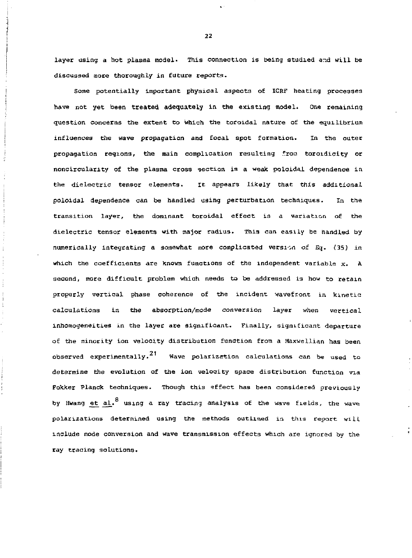layer using a hot plasma model. This connection is being studied and will be discussed more thoroughly in future reports.

Some potentially important physical aspects of ICRF heating processes have not yet been treated adequately in the existing model. One remaining question concerns the extent to which the toroidal nature of the equilibrium influences the wave propagation and focal spot formation. In the outer propagation regions, the main complication resulting from toroidicity or noncircularity of the plasma cross section is a weak poloidal dependence in the dielectric tensor elements. it appears likely that this additional poloidal dependence can be handled using perturbation techniques. in the transition layer, the dominant toroidal effect is a variation of the dielectric tensor elements with major radius. This can easily be handled by numerically integrating a somewhat more complicated version of Eq. (35) in which the coefficients are known functions of the independent variable x. A second, more difficult problem which needs to be addressed is how to retain properly vertical phase coherence of the incident wavefront in kinetic calculations in the absorption/mode conversion layer when vertical inhomogeneities in the layer are significant. Finally, significant departure of the minority ion velocity distribution function from a Maxwellian has been observed experimentally.<sup>21</sup> Wave polarization calculations can be used to determine the evolution of the ion velocity space distribution function via Fokker Planck techniques. Though this effect has been considered previously by Hwang <u>et al</u>.<sup>8</sup> using a ray tracing analysis of the wave fields, the wave polarizations determined using the methods outlined in this report will include mode conversion and wave transmission effects which are ignored by the ray tracing solutions.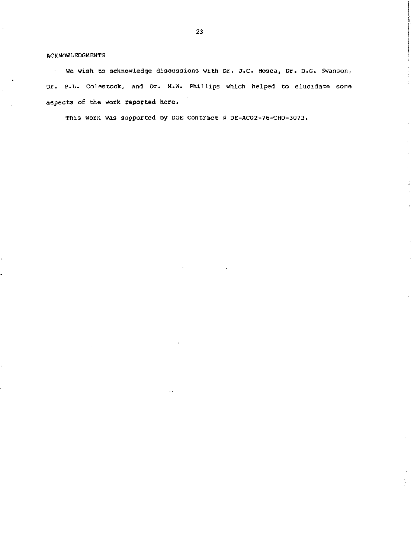# ACKNOWLEDGMENTS

 $\sim$ We wish to acknowledge discussions with Dr. J.C. Hosea, Dr. D.G. Swanson, Dr. P.IJ. Colestock, and Dr. M.W. Phillips which helped to elucidate some aspects of the work reported here.

This work was supported by DOE contract # DE-AC02-76-CHO-3073.

l I

 $\mathbf{I}$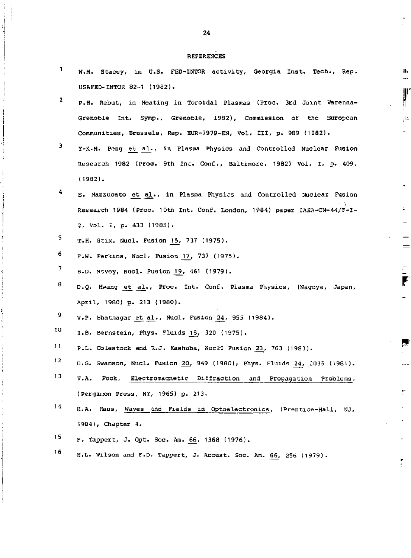#### REFERENCES

 $\mathbf{1}$ W.M. Stacey, in U.S. FED-INTOR activity, Georgia Inst. Tech., Rep. USAFED-INTOR 82-1 (1982).

Ш'n.

J

أشاع

F

- $2<sup>1</sup>$ P.H. Rebut, in Heating in Toroidal Plasmas (Pros. 3rd Joint varenna-Grenoble Int. Symp., Grenoble, 1982), Commission of the European Communities, Brussels, Rep. EUR-7979-EN, Vol. Ill, p. 989 (1982).
- $\overline{\mathbf{3}}$ Y-K.M. Peng *et\_* al., in Plasma Physics and Controlled Nuclear Fusion Research 1982 (Proc. 9th Int. Conf., Baltimore, 1982) Vol. I, p. 409, (1982).
- 4 E. Mazzucato et al., in Plasma Physics and Controlled Nuclear Fusion Research 1984 (Proc. 10th Int. Conf. London, 1984) paper IAEA-CN-44/F-I-2, Vol. I, p. 433 (1985).
- 5 T.H. Stix, Nucl. Fusion *±S\_r* 737 (1975).
- 6 F.W. Per'tins, Nucl, Fusion \_17\_, 737 (1975).
- 7 B.D. McVey, Nucl. Fusion 19, 461 (1979).
- 8 *D.Q.* Hwang et al., Proc. Int. Conf. Plasma Physics, (Nagaya, Japan, April, 1980) p. 213 (1980).
- 9 V.P. Bhatnagar *et\_ a±.*, Nucl. Fusion *7A\_,* 955 (1984).
- 10 I.B. Bernstein, Phys. Fluids 18, 320 (1975).
- $11$ P.L. Colestock and R.J. Kashuba, Nucl. Fusion 23, 763 (1983).
- $12$ D.G, Swanson, Nucl. Fusion \_20, 949 (1980); Phys. Fluids *24j* 2035 (1981).
- $13$ V.A. Fock, Electromagnetic Diffraction and Propagation Problems, (Pergamon Press, NX, 1965) p. 213.
- 14 H.A. Haus, Waves and Fields in Optoelectronics, (Prentice-Hall, NJ, 1984), Chapter 4.
- $15$ F. Tappert, J. Opt. Soc. Am. 66, 1368 (1976).
- 16 H.L. Wilson and F.D. Tappert, J. Acoust. Soc. Am. 66, 256 (1979).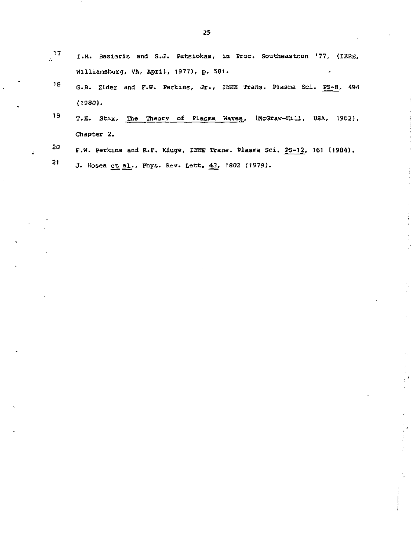- $\frac{17}{2}$ I.M. Bssieris and S.J. Patsiokas, in Proc. Southeastcon '77, <IEEE, Williamsburg, VA, April, 1977), p. 581.
- $18$ G.B. Slder and F.W. Perkins, Jr., IEEE Irang. Plasma Sci. PS-S, 494 (1980).
- 19 T.H. Stix, <u>The Theory of Plasma Waves</u>, (McGraw-Hill, USA, 1962), Chapter 2.
- 20 F.W. Perkins and R.F. Kluge, IEEE Trans. Plasma Sci. <u>PS-12</u>, 161 [1984). 21 J. Hosea et al., Phys. Rev. Lett. 43, 1802 (1979).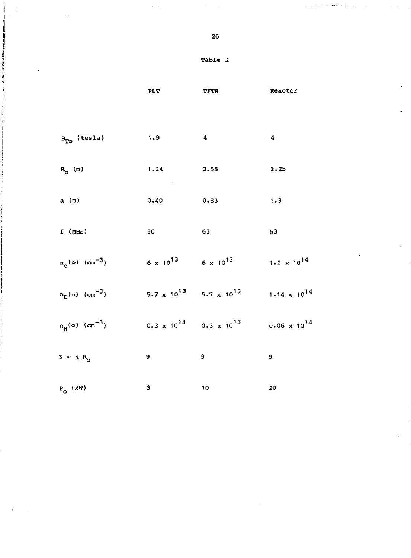|                               | <b>PLT</b>                                | TFTR  | Reactor               |
|-------------------------------|-------------------------------------------|-------|-----------------------|
|                               |                                           |       |                       |
| $B_{TQ}$ (tesla)              | 1.9                                       | $4 -$ | $\boldsymbol{4}$      |
| $R_0$ (m)                     | $1.34 -$<br>$\overline{\phantom{a}}$      | 2.55  | 3.25                  |
| $a \in (\mathfrak{m})$        | 0.40                                      | 0.83  | 1.3                   |
| $f$ (MHz)                     | 30                                        | 63    | 63                    |
| $n_{\rho}(\circ) \ (cm^{-3})$ | $6 \times 10^{13}$ $6 \times 10^{13}$     |       | $1.2 \times 10^{14}$  |
| $n_D(o)$ (cm <sup>-3</sup> )  | 5.7 x $10^{13}$ 5.7 x $10^{13}$           |       | $1.14 \times 10^{14}$ |
| $n_H(o)$ (cm <sup>-3</sup> )  | $0.3 \times 10^{13}$ $0.3 \times 10^{13}$ |       | $0.06 \times 10^{14}$ |
| $N = k_{\parallel}R_{\Omega}$ | 9                                         | 9     | 9                     |
| $P_{\alpha}$ (MW)             | з                                         | 10    | 20                    |

**26** 

 $\bar{1}$ ł

 $\label{eq:3.1} \begin{split} \mathcal{L}_{\mathcal{A}}^{\mathcal{A}}\left(\mathcal{L}_{\mathcal{A}}^{\mathcal{A}}\right) & \mathcal{L}_{\mathcal{A}}^{\mathcal{A}}\left(\mathcal{L}_{\mathcal{A}}^{\mathcal{A}}\right) & \mathcal{L}_{\mathcal{A}}^{\mathcal{A}}\left(\mathcal{L}_{\mathcal{A}}^{\mathcal{A}}\right) & \mathcal{L}_{\mathcal{A}}^{\mathcal{A}}\left(\mathcal{L}_{\mathcal{A}}^{\mathcal{A}}\right) & \mathcal{L}_{\mathcal{A}}^{\mathcal{A}}\left(\mathcal{L}_{\mathcal$ 

**Table X** 

l,

ř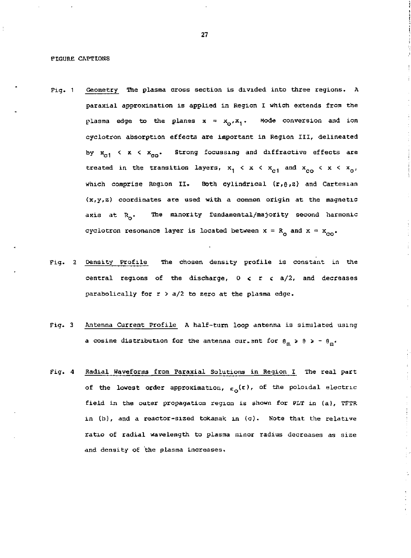- Pig. 1 Geometry The plasma cross section is divided into three regions. A paraxial approximation is applied in Region I which extends from the plasma edge to the planes  $x = x_0, x_1$ . Mode conversion and ion cyclotron absorption effects are important in Region III, delineated by  $x_{c1} \leftarrow x \leftarrow x_{co}$ . Strong focussing and diffractive effects are treated in the transition layers,  $x_1 \le x \le x_{c1}$  and  $x_{c0} \le x \le x_{o1}$ . which comprise Reqion II. Both cylindrical  $(r, \theta, z)$  and Cartesian (x,y,z) coordinates are used with a common origin at the magnetic axis at  $R_{\alpha}$ . The minority fundamental/majority second harmonic axis at  $\mathcal{L}$  . The minority second harmonic second harmonic second harmonic second harmonic second harmonic cyclotron resonance layer is located between  $x = R_0$  and  $x = x_{\text{co}}$ .
- Fig. 2 Density Profile The chosen density profile is constant in the central regions of the discharge,  $0 \le r \le a/2$ , and decreases parabolically for  $r > a/2$  to zero at the plasma edge.
- Fig. 3 Antenna Current Profile A half-turn loop antenna is simulated using a cosine distribution for the antenna cur.ant for  $\theta_m > \theta > -\theta_m$ .

**H**<sub> $\sim$ </sub>

Fig. 4 Radial Waveforms from Paraxial Solutions in Region I The real part of the lowest order approximation,  $\epsilon_0(r)$ , of the poloidal electric field in the outer propagation region is shown for PLT in (a), TFTR in (b), and a reactor-sized tokamak in (c). Note that the relative ratio of radial wavelength to plasma minor radius decreases as size and density of the plasma increases.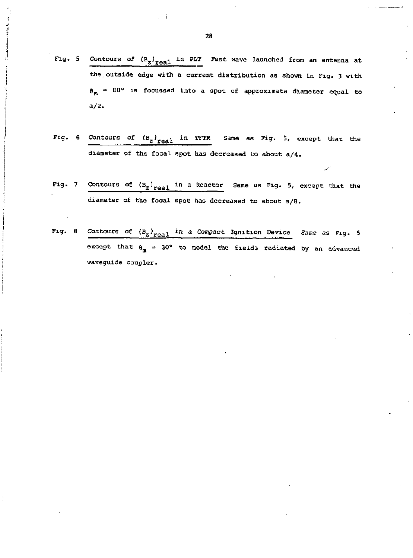- Fig. 5 Contours of  $(B_z)_{\text{real}}$  in PLT Fast wave launched from an antenna at the outside edge with a current distribution as shown in Fig. 3 with  $\theta_{\rm m}$  = 80° is focussed into a spot of approximate diameter equal to a/2.
- Fig. 6 Contours of  $(B_2)_{\text{real}}$  in TFTR Same as Fig. 5, except that the diameter of the focal spot has decreased *\xt* about a/4.
- Fig. 7 Contours of  $\langle B_z \rangle_{\tt real}$  in a Reactor Same as Fig. 5, except that the diameter of the focal spot has decreased to about a/B.
- Fig. 8 Contours of  $(B_z)_{\text{real}}$  in a Compact Ignition Device Same as Fig. 5 except that  $\theta_m = 30^\circ$  to model the fields radiated by an advanced waveguide coupler.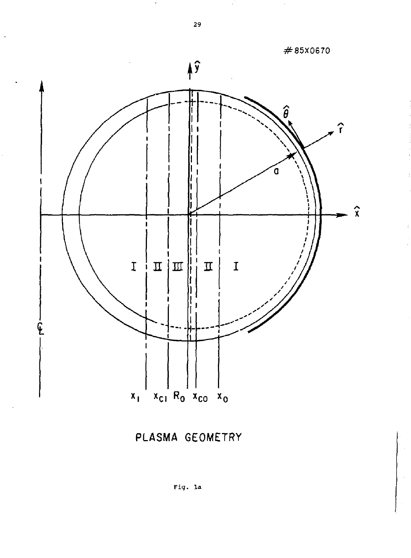

# PLASMA GEOMETRY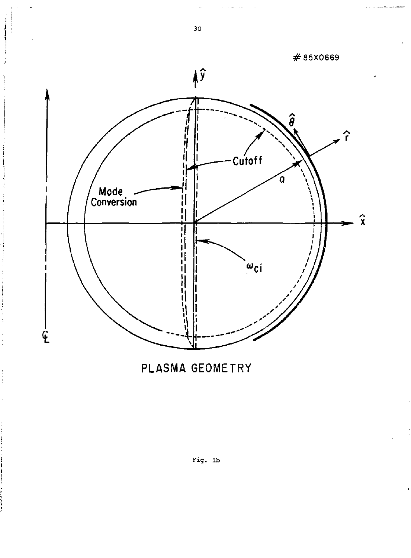



Fig. lb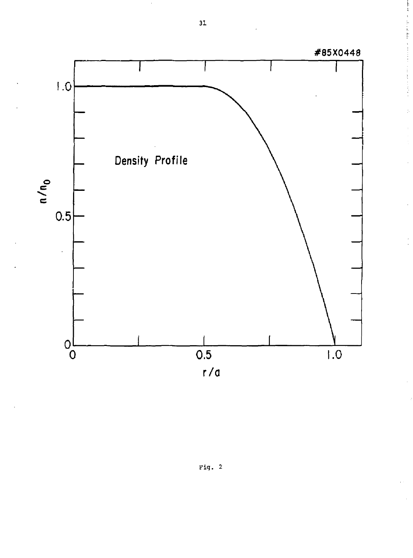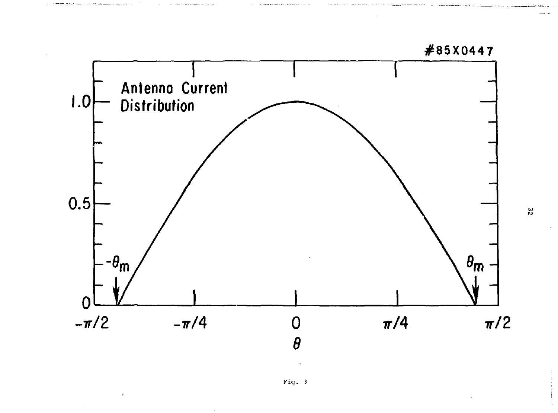

 $\frac{22}{3}$ 

Fig. 3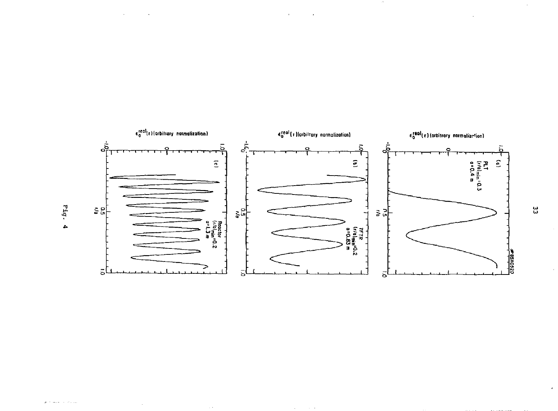

 $\sim 10^{11}$  and  $\sim 10^{11}$ 

 $\sim 10$ 

 $\alpha$  .

 $\sim 10^{-10}$  e

 $\sim 6$ 

 $\epsilon$ 

 $\mathcal{L}^{\pm}$ 

 $\Delta$ 

 $\mathbf{a}$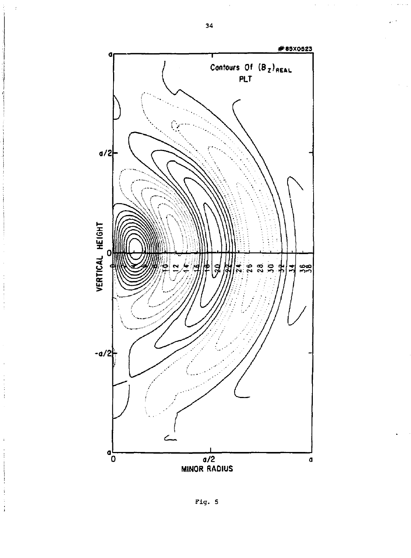

 $34$ 

 $Fig. 5$ 

j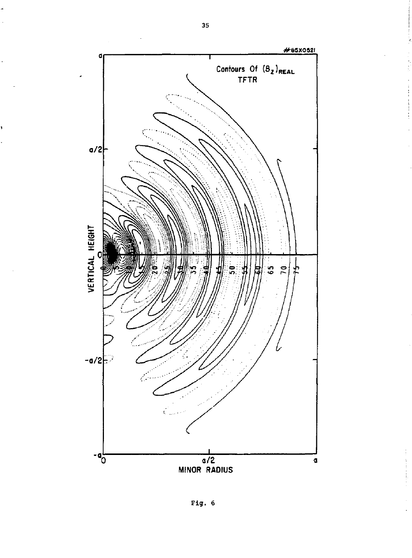

Fig.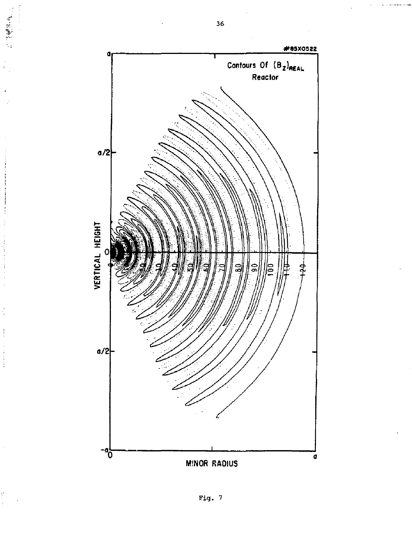

**36** 

**V X X 30 10 11** 

 $\bar{\bar{a}}$ 

ł

j

p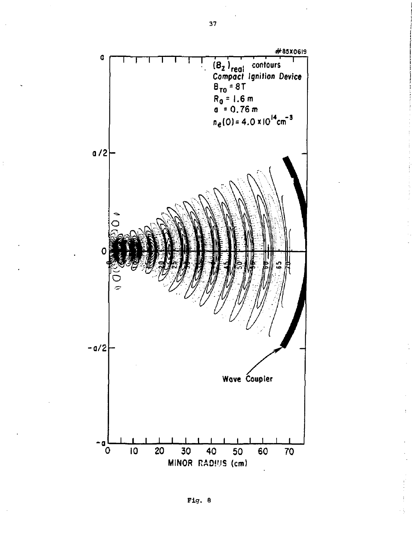

Fig. 8

έţ.